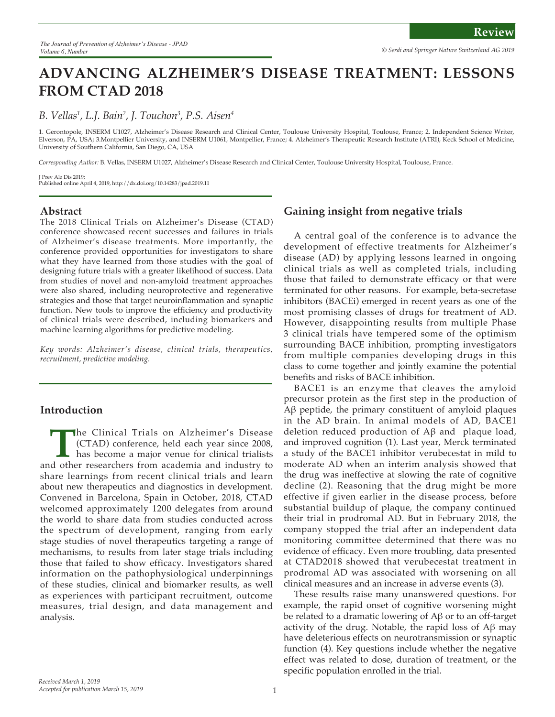# **ADVANCING ALZHEIMER'S DISEASE TREATMENT: LESSONS FROM CTAD 2018**

## *B. Vellas1 , L.J. Bain2 , J. Touchon3 , P.S. Aisen4*

1. Gerontopole, INSERM U1027, Alzheimer's Disease Research and Clinical Center, Toulouse University Hospital, Toulouse, France; 2. Independent Science Writer, Elverson, PA, USA; 3.Montpellier University, and INSERM U1061, Montpellier, France; 4. Alzheimer's Therapeutic Research Institute (ATRI), Keck School of Medicine, University of Southern California, San Diego, CA, USA

*Corresponding Author:* B. Vellas, INSERM U1027, Alzheimer's Disease Research and Clinical Center, Toulouse University Hospital, Toulouse, France.

J Prev Alz Dis 2019; Published online April 4, 2019, http://dx.doi.org/10.14283/jpad.2019.11

#### **Abstract**

The 2018 Clinical Trials on Alzheimer's Disease (CTAD) conference showcased recent successes and failures in trials of Alzheimer's disease treatments. More importantly, the conference provided opportunities for investigators to share what they have learned from those studies with the goal of designing future trials with a greater likelihood of success. Data from studies of novel and non-amyloid treatment approaches were also shared, including neuroprotective and regenerative strategies and those that target neuroinflammation and synaptic function. New tools to improve the efficiency and productivity of clinical trials were described, including biomarkers and machine learning algorithms for predictive modeling.

*Key words: Alzheimer's disease, clinical trials, therapeutics, recruitment, predictive modeling.* 

## **Introduction**

The Clinical Trials on Alzheimer's Disease (CTAD) conference, held each year since 2008, has become a major venue for clinical trialists d other researchers from academia and industry to (CTAD) conference, held each year since 2008, has become a major venue for clinical trialists and other researchers from academia and industry to share learnings from recent clinical trials and learn about new therapeutics and diagnostics in development. Convened in Barcelona, Spain in October, 2018, CTAD welcomed approximately 1200 delegates from around the world to share data from studies conducted across the spectrum of development, ranging from early stage studies of novel therapeutics targeting a range of mechanisms, to results from later stage trials including those that failed to show efficacy. Investigators shared information on the pathophysiological underpinnings of these studies, clinical and biomarker results, as well as experiences with participant recruitment, outcome measures, trial design, and data management and analysis.

## **Gaining insight from negative trials**

A central goal of the conference is to advance the development of effective treatments for Alzheimer's disease (AD) by applying lessons learned in ongoing clinical trials as well as completed trials, including those that failed to demonstrate efficacy or that were terminated for other reasons. For example, beta-secretase inhibitors (BACEi) emerged in recent years as one of the most promising classes of drugs for treatment of AD. However, disappointing results from multiple Phase 3 clinical trials have tempered some of the optimism surrounding BACE inhibition, prompting investigators from multiple companies developing drugs in this class to come together and jointly examine the potential benefits and risks of BACE inhibition.

BACE1 is an enzyme that cleaves the amyloid precursor protein as the first step in the production of Aβ peptide, the primary constituent of amyloid plaques in the AD brain. In animal models of AD, BACE1 deletion reduced production of Aβ and plaque load, and improved cognition (1). Last year, Merck terminated a study of the BACE1 inhibitor verubecestat in mild to moderate AD when an interim analysis showed that the drug was ineffective at slowing the rate of cognitive decline (2). Reasoning that the drug might be more effective if given earlier in the disease process, before substantial buildup of plaque, the company continued their trial in prodromal AD. But in February 2018, the company stopped the trial after an independent data monitoring committee determined that there was no evidence of efficacy. Even more troubling, data presented at CTAD2018 showed that verubecestat treatment in prodromal AD was associated with worsening on all clinical measures and an increase in adverse events (3).

These results raise many unanswered questions. For example, the rapid onset of cognitive worsening might be related to a dramatic lowering of Aβ or to an off-target activity of the drug. Notable, the rapid loss of Aβ may have deleterious effects on neurotransmission or synaptic function (4). Key questions include whether the negative effect was related to dose, duration of treatment, or the specific population enrolled in the trial.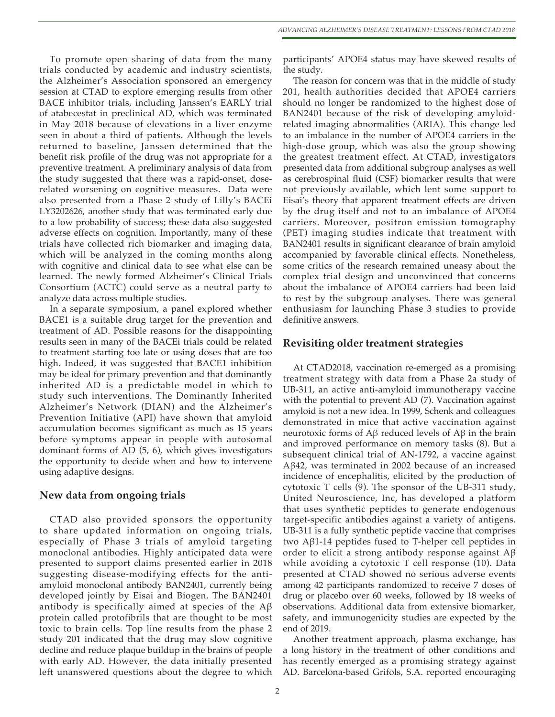To promote open sharing of data from the many trials conducted by academic and industry scientists, the Alzheimer's Association sponsored an emergency session at CTAD to explore emerging results from other BACE inhibitor trials, including Janssen's EARLY trial of atabecestat in preclinical AD, which was terminated in May 2018 because of elevations in a liver enzyme seen in about a third of patients. Although the levels returned to baseline, Janssen determined that the benefit risk profile of the drug was not appropriate for a preventive treatment. A preliminary analysis of data from the study suggested that there was a rapid-onset, doserelated worsening on cognitive measures. Data were also presented from a Phase 2 study of Lilly's BACEi LY3202626, another study that was terminated early due to a low probability of success; these data also suggested adverse effects on cognition. Importantly, many of these trials have collected rich biomarker and imaging data, which will be analyzed in the coming months along with cognitive and clinical data to see what else can be learned. The newly formed Alzheimer's Clinical Trials Consortium (ACTC) could serve as a neutral party to analyze data across multiple studies.

In a separate symposium, a panel explored whether BACE1 is a suitable drug target for the prevention and treatment of AD. Possible reasons for the disappointing results seen in many of the BACEi trials could be related to treatment starting too late or using doses that are too high. Indeed, it was suggested that BACE1 inhibition may be ideal for primary prevention and that dominantly inherited AD is a predictable model in which to study such interventions. The Dominantly Inherited Alzheimer's Network (DIAN) and the Alzheimer's Prevention Initiative (API) have shown that amyloid accumulation becomes significant as much as 15 years before symptoms appear in people with autosomal dominant forms of AD (5, 6), which gives investigators the opportunity to decide when and how to intervene using adaptive designs.

#### **New data from ongoing trials**

CTAD also provided sponsors the opportunity to share updated information on ongoing trials, especially of Phase 3 trials of amyloid targeting monoclonal antibodies. Highly anticipated data were presented to support claims presented earlier in 2018 suggesting disease-modifying effects for the antiamyloid monoclonal antibody BAN2401, currently being developed jointly by Eisai and Biogen. The BAN2401 antibody is specifically aimed at species of the  $A\beta$ protein called protofibrils that are thought to be most toxic to brain cells. Top line results from the phase 2 study 201 indicated that the drug may slow cognitive decline and reduce plaque buildup in the brains of people with early AD. However, the data initially presented left unanswered questions about the degree to which participants' APOE4 status may have skewed results of the study.

The reason for concern was that in the middle of study 201, health authorities decided that APOE4 carriers should no longer be randomized to the highest dose of BAN2401 because of the risk of developing amyloidrelated imaging abnormalities (ARIA). This change led to an imbalance in the number of APOE4 carriers in the high-dose group, which was also the group showing the greatest treatment effect. At CTAD, investigators presented data from additional subgroup analyses as well as cerebrospinal fluid (CSF) biomarker results that were not previously available, which lent some support to Eisai's theory that apparent treatment effects are driven by the drug itself and not to an imbalance of APOE4 carriers. Moreover, positron emission tomography (PET) imaging studies indicate that treatment with BAN2401 results in significant clearance of brain amyloid accompanied by favorable clinical effects. Nonetheless, some critics of the research remained uneasy about the complex trial design and unconvinced that concerns about the imbalance of APOE4 carriers had been laid to rest by the subgroup analyses. There was general enthusiasm for launching Phase 3 studies to provide definitive answers.

#### **Revisiting older treatment strategies**

At CTAD2018, vaccination re-emerged as a promising treatment strategy with data from a Phase 2a study of UB-311, an active anti-amyloid immunotherapy vaccine with the potential to prevent AD (7). Vaccination against amyloid is not a new idea. In 1999, Schenk and colleagues demonstrated in mice that active vaccination against neurotoxic forms of  $\text{A}\beta$  reduced levels of  $\text{A}\beta$  in the brain and improved performance on memory tasks (8). But a subsequent clinical trial of AN-1792, a vaccine against Aβ42, was terminated in 2002 because of an increased incidence of encephalitis, elicited by the production of cytotoxic T cells (9). The sponsor of the UB-311 study, United Neuroscience, Inc, has developed a platform that uses synthetic peptides to generate endogenous target-specific antibodies against a variety of antigens. UB-311 is a fully synthetic peptide vaccine that comprises two Aβ1-14 peptides fused to T-helper cell peptides in order to elicit a strong antibody response against Aβ while avoiding a cytotoxic T cell response (10). Data presented at CTAD showed no serious adverse events among 42 participants randomized to receive 7 doses of drug or placebo over 60 weeks, followed by 18 weeks of observations. Additional data from extensive biomarker, safety, and immunogenicity studies are expected by the end of 2019.

Another treatment approach, plasma exchange, has a long history in the treatment of other conditions and has recently emerged as a promising strategy against AD. Barcelona-based Grifols, S.A. reported encouraging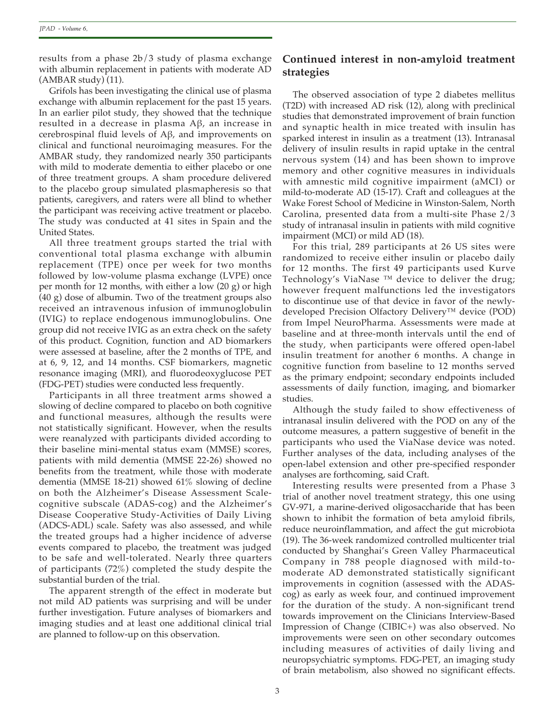results from a phase 2b/3 study of plasma exchange with albumin replacement in patients with moderate AD  $(AMBAR study)$  (11).

Grifols has been investigating the clinical use of plasma exchange with albumin replacement for the past 15 years. In an earlier pilot study, they showed that the technique resulted in a decrease in plasma Aβ, an increase in cerebrospinal fluid levels of Aβ, and improvements on clinical and functional neuroimaging measures. For the AMBAR study, they randomized nearly 350 participants with mild to moderate dementia to either placebo or one of three treatment groups. A sham procedure delivered to the placebo group simulated plasmapheresis so that patients, caregivers, and raters were all blind to whether the participant was receiving active treatment or placebo. The study was conducted at 41 sites in Spain and the United States.

All three treatment groups started the trial with conventional total plasma exchange with albumin replacement (TPE) once per week for two months followed by low-volume plasma exchange (LVPE) once per month for 12 months, with either a low (20 g) or high (40 g) dose of albumin. Two of the treatment groups also received an intravenous infusion of immunoglobulin (IVIG) to replace endogenous immunoglobulins. One group did not receive IVIG as an extra check on the safety of this product. Cognition, function and AD biomarkers were assessed at baseline, after the 2 months of TPE, and at 6, 9, 12, and 14 months. CSF biomarkers, magnetic resonance imaging (MRI), and fluorodeoxyglucose PET (FDG-PET) studies were conducted less frequently.

Participants in all three treatment arms showed a slowing of decline compared to placebo on both cognitive and functional measures, although the results were not statistically significant. However, when the results were reanalyzed with participants divided according to their baseline mini-mental status exam (MMSE) scores, patients with mild dementia (MMSE 22-26) showed no benefits from the treatment, while those with moderate dementia (MMSE 18-21) showed 61% slowing of decline on both the Alzheimer's Disease Assessment Scalecognitive subscale (ADAS-cog) and the Alzheimer's Disease Cooperative Study-Activities of Daily Living (ADCS-ADL) scale. Safety was also assessed, and while the treated groups had a higher incidence of adverse events compared to placebo, the treatment was judged to be safe and well-tolerated. Nearly three quarters of participants (72%) completed the study despite the substantial burden of the trial.

The apparent strength of the effect in moderate but not mild AD patients was surprising and will be under further investigation. Future analyses of biomarkers and imaging studies and at least one additional clinical trial are planned to follow-up on this observation.

## **Continued interest in non-amyloid treatment strategies**

The observed association of type 2 diabetes mellitus (T2D) with increased AD risk (12), along with preclinical studies that demonstrated improvement of brain function and synaptic health in mice treated with insulin has sparked interest in insulin as a treatment (13). Intranasal delivery of insulin results in rapid uptake in the central nervous system (14) and has been shown to improve memory and other cognitive measures in individuals with amnestic mild cognitive impairment (aMCI) or mild-to-moderate AD (15-17). Craft and colleagues at the Wake Forest School of Medicine in Winston-Salem, North Carolina, presented data from a multi-site Phase 2/3 study of intranasal insulin in patients with mild cognitive impairment (MCI) or mild AD (18).

For this trial, 289 participants at 26 US sites were randomized to receive either insulin or placebo daily for 12 months. The first 49 participants used Kurve Technology's ViaNase ™ device to deliver the drug; however frequent malfunctions led the investigators to discontinue use of that device in favor of the newlydeveloped Precision Olfactory Delivery™ device (POD) from Impel NeuroPharma. Assessments were made at baseline and at three-month intervals until the end of the study, when participants were offered open-label insulin treatment for another 6 months. A change in cognitive function from baseline to 12 months served as the primary endpoint; secondary endpoints included assessments of daily function, imaging, and biomarker studies.

Although the study failed to show effectiveness of intranasal insulin delivered with the POD on any of the outcome measures, a pattern suggestive of benefit in the participants who used the ViaNase device was noted. Further analyses of the data, including analyses of the open-label extension and other pre-specified responder analyses are forthcoming, said Craft.

Interesting results were presented from a Phase 3 trial of another novel treatment strategy, this one using GV-971, a marine-derived oligosaccharide that has been shown to inhibit the formation of beta amyloid fibrils, reduce neuroinflammation, and affect the gut microbiota (19). The 36-week randomized controlled multicenter trial conducted by Shanghai's Green Valley Pharmaceutical Company in 788 people diagnosed with mild-tomoderate AD demonstrated statistically significant improvements in cognition (assessed with the ADAScog) as early as week four, and continued improvement for the duration of the study. A non-significant trend towards improvement on the Clinicians Interview-Based Impression of Change (CIBIC+) was also observed. No improvements were seen on other secondary outcomes including measures of activities of daily living and neuropsychiatric symptoms. FDG-PET, an imaging study of brain metabolism, also showed no significant effects.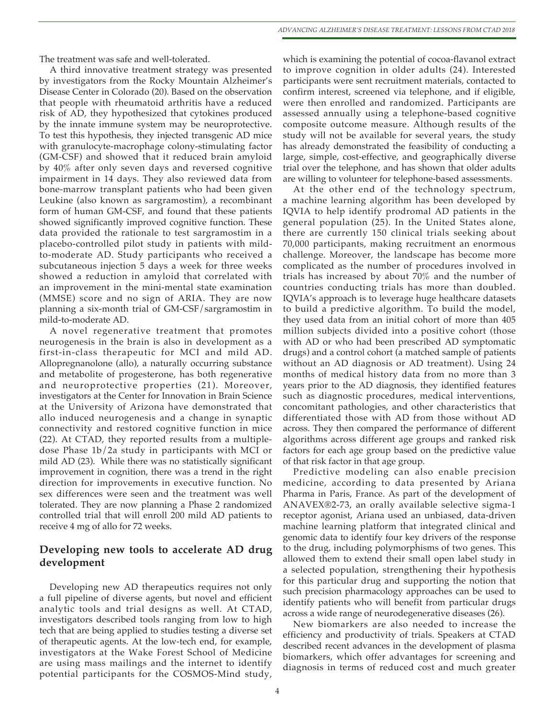The treatment was safe and well-tolerated.

A third innovative treatment strategy was presented by investigators from the Rocky Mountain Alzheimer's Disease Center in Colorado (20). Based on the observation that people with rheumatoid arthritis have a reduced risk of AD, they hypothesized that cytokines produced by the innate immune system may be neuroprotective. To test this hypothesis, they injected transgenic AD mice with granulocyte-macrophage colony-stimulating factor (GM-CSF) and showed that it reduced brain amyloid by 40% after only seven days and reversed cognitive impairment in 14 days. They also reviewed data from bone-marrow transplant patients who had been given Leukine (also known as sargramostim), a recombinant form of human GM-CSF, and found that these patients showed significantly improved cognitive function. These data provided the rationale to test sargramostim in a placebo-controlled pilot study in patients with mildto-moderate AD. Study participants who received a subcutaneous injection 5 days a week for three weeks showed a reduction in amyloid that correlated with an improvement in the mini-mental state examination (MMSE) score and no sign of ARIA. They are now planning a six-month trial of GM-CSF/sargramostim in mild-to-moderate AD.

A novel regenerative treatment that promotes neurogenesis in the brain is also in development as a first-in-class therapeutic for MCI and mild AD. Allopregnanolone (allo), a naturally occurring substance and metabolite of progesterone, has both regenerative and neuroprotective properties (21). Moreover, investigators at the Center for Innovation in Brain Science at the University of Arizona have demonstrated that allo induced neurogenesis and a change in synaptic connectivity and restored cognitive function in mice (22). At CTAD, they reported results from a multipledose Phase 1b/2a study in participants with MCI or mild AD (23). While there was no statistically significant improvement in cognition, there was a trend in the right direction for improvements in executive function. No sex differences were seen and the treatment was well tolerated. They are now planning a Phase 2 randomized controlled trial that will enroll 200 mild AD patients to receive 4 mg of allo for 72 weeks.

## **Developing new tools to accelerate AD drug development**

Developing new AD therapeutics requires not only a full pipeline of diverse agents, but novel and efficient analytic tools and trial designs as well. At CTAD, investigators described tools ranging from low to high tech that are being applied to studies testing a diverse set of therapeutic agents. At the low-tech end, for example, investigators at the Wake Forest School of Medicine are using mass mailings and the internet to identify potential participants for the COSMOS-Mind study,

which is examining the potential of cocoa-flavanol extract to improve cognition in older adults (24). Interested participants were sent recruitment materials, contacted to confirm interest, screened via telephone, and if eligible, were then enrolled and randomized. Participants are assessed annually using a telephone-based cognitive composite outcome measure. Although results of the study will not be available for several years, the study has already demonstrated the feasibility of conducting a large, simple, cost-effective, and geographically diverse trial over the telephone, and has shown that older adults are willing to volunteer for telephone-based assessments.

At the other end of the technology spectrum, a machine learning algorithm has been developed by IQVIA to help identify prodromal AD patients in the general population (25). In the United States alone, there are currently 150 clinical trials seeking about 70,000 participants, making recruitment an enormous challenge. Moreover, the landscape has become more complicated as the number of procedures involved in trials has increased by about 70% and the number of countries conducting trials has more than doubled. IQVIA's approach is to leverage huge healthcare datasets to build a predictive algorithm. To build the model, they used data from an initial cohort of more than 405 million subjects divided into a positive cohort (those with AD or who had been prescribed AD symptomatic drugs) and a control cohort (a matched sample of patients without an AD diagnosis or AD treatment). Using 24 months of medical history data from no more than 3 years prior to the AD diagnosis, they identified features such as diagnostic procedures, medical interventions, concomitant pathologies, and other characteristics that differentiated those with AD from those without AD across. They then compared the performance of different algorithms across different age groups and ranked risk factors for each age group based on the predictive value of that risk factor in that age group.

Predictive modeling can also enable precision medicine, according to data presented by Ariana Pharma in Paris, France. As part of the development of ANAVEX®2-73, an orally available selective sigma-1 receptor agonist, Ariana used an unbiased, data-driven machine learning platform that integrated clinical and genomic data to identify four key drivers of the response to the drug, including polymorphisms of two genes. This allowed them to extend their small open label study in a selected population, strengthening their hypothesis for this particular drug and supporting the notion that such precision pharmacology approaches can be used to identify patients who will benefit from particular drugs across a wide range of neurodegenerative diseases (26).

New biomarkers are also needed to increase the efficiency and productivity of trials. Speakers at CTAD described recent advances in the development of plasma biomarkers, which offer advantages for screening and diagnosis in terms of reduced cost and much greater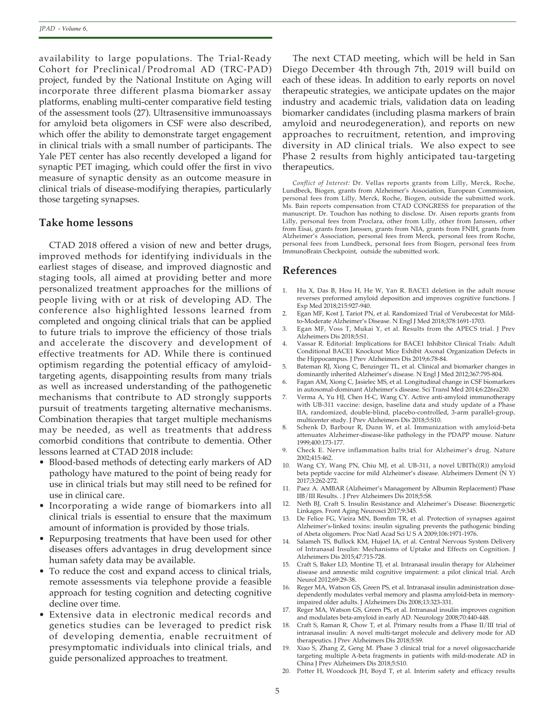availability to large populations. The Trial-Ready Cohort for Preclinical/Prodromal AD (TRC-PAD) project, funded by the National Institute on Aging will incorporate three different plasma biomarker assay platforms, enabling multi-center comparative field testing of the assessment tools (27). Ultrasensitive immunoassays for amyloid beta oligomers in CSF were also described, which offer the ability to demonstrate target engagement in clinical trials with a small number of participants. The Yale PET center has also recently developed a ligand for synaptic PET imaging, which could offer the first in vivo measure of synaptic density as an outcome measure in clinical trials of disease-modifying therapies, particularly those targeting synapses.

### **Take home lessons**

CTAD 2018 offered a vision of new and better drugs, improved methods for identifying individuals in the earliest stages of disease, and improved diagnostic and staging tools, all aimed at providing better and more personalized treatment approaches for the millions of people living with or at risk of developing AD. The conference also highlighted lessons learned from completed and ongoing clinical trials that can be applied to future trials to improve the efficiency of those trials and accelerate the discovery and development of effective treatments for AD. While there is continued optimism regarding the potential efficacy of amyloidtargeting agents, disappointing results from many trials as well as increased understanding of the pathogenetic mechanisms that contribute to AD strongly supports pursuit of treatments targeting alternative mechanisms. Combination therapies that target multiple mechanisms may be needed, as well as treatments that address comorbid conditions that contribute to dementia. Other lessons learned at CTAD 2018 include:

- Blood-based methods of detecting early markers of AD pathology have matured to the point of being ready for use in clinical trials but may still need to be refined for use in clinical care.
- Incorporating a wide range of biomarkers into all clinical trials is essential to ensure that the maximum amount of information is provided by those trials.
- Repurposing treatments that have been used for other diseases offers advantages in drug development since human safety data may be available.
- To reduce the cost and expand access to clinical trials, remote assessments via telephone provide a feasible approach for testing cognition and detecting cognitive decline over time.
- Extensive data in electronic medical records and genetics studies can be leveraged to predict risk of developing dementia, enable recruitment of presymptomatic individuals into clinical trials, and guide personalized approaches to treatment.

The next CTAD meeting, which will be held in San Diego December 4th through 7th, 2019 will build on each of these ideas. In addition to early reports on novel therapeutic strategies, we anticipate updates on the major industry and academic trials, validation data on leading biomarker candidates (including plasma markers of brain amyloid and neurodegeneration), and reports on new approaches to recruitment, retention, and improving diversity in AD clinical trials. We also expect to see Phase 2 results from highly anticipated tau-targeting therapeutics.

*Conflict of Interest:* Dr. Vellas reports grants from Lilly, Merck, Roche, Lundbeck, Biogen, grants from Alzheimer's Association, European Commission, personal fees from Lilly, Merck, Roche, Biogen, outside the submitted work. Ms. Bain reports compensation from CTAD CONGRESS for preparation of the manuscript. Dr. Touchon has nothing to disclose. Dr. Aisen reports grants from Lilly, personal fees from Proclara, other from Lilly, other from Janssen, other from Eisai, grants from Janssen, grants from NIA, grants from FNIH, grants from Alzheimer's Association, personal fees from Merck, personal fees from Roche, personal fees from Lundbeck, personal fees from Biogen, personal fees from ImmunoBrain Checkpoint, outside the submitted work.

#### **References**

- 1. Hu X, Das B, Hou H, He W, Yan R. BACE1 deletion in the adult mouse reverses preformed amyloid deposition and improves cognitive functions. J Exp Med 2018;215:927-940.
- Egan MF, Kost J, Tariot PN, et al. Randomized Trial of Verubecestat for Mildto-Moderate Alzheimer's Disease. N Engl J Med 2018;378:1691-1703.
- Egan MF, Voss T, Mukai Y, et al. Results from the APECS trial. J Prev Alzheimers Dis 2018;5:S1.
- 4. Vassar R. Editorial: Implications for BACE1 Inhibitor Clinical Trials: Adult Conditional BACE1 Knockout Mice Exhibit Axonal Organization Defects in the Hippocampus. J Prev Alzheimers Dis 2019;6:78-84.
- 5. Bateman RJ, Xiong C, Benzinger TL, et al. Clinical and biomarker changes in dominantly inherited Alzheimer's disease. N Engl J Med 2012;367:795-804.
- 6. Fagan AM, Xiong C, Jasielec MS, et al. Longitudinal change in CSF biomarkers in autosomal-dominant Alzheimer's disease. Sci Transl Med 2014;6:226ra230.
- 7. Verma A, Yu HJ, Chen H-C, Wang CY. Active anti-amyloid immunotherapy with UB-311 vaccine: design, baseline data and study update of a Phase IIA, randomized, double-blind, placebo-controlled, 3-arm parallel-group, multicenter study. J Prev Alzheimers Dis 2018;5:S10.
- 8. Schenk D, Barbour R, Dunn W, et al. Immunization with amyloid-beta attenuates Alzheimer-disease-like pathology in the PDAPP mouse. Nature 1999;400:173-177.
- 9. Check E. Nerve inflammation halts trial for Alzheimer's drug. Nature 2002;415:462.
- 10. Wang CY, Wang PN, Chiu MJ, et al. UB-311, a novel UBITh((R)) amyloid beta peptide vaccine for mild Alzheimer's disease. Alzheimers Dement (N Y) 2017;3:262-272.
- 11. Paez A. AMBAR (Alzheimer's Management by Albumin Replacement) Phase IIB/III Results. . J Prev Alzheimers Dis 2018;5:S8.
- 12. Neth BJ, Craft S. Insulin Resistance and Alzheimer's Disease: Bioenergetic Linkages. Front Aging Neurosci 2017;9:345.
- 13. De Felice FG, Vieira MN, Bomfim TR, et al. Protection of synapses against Alzheimer's-linked toxins: insulin signaling prevents the pathogenic binding of Abeta oligomers. Proc Natl Acad Sci U S A 2009;106:1971-1976.
- 14. Salameh TS, Bullock KM, Hujoel IA, et al. Central Nervous System Delivery of Intranasal Insulin: Mechanisms of Uptake and Effects on Cognition. J Alzheimers Dis 2015;47:715-728.
- 15. Craft S, Baker LD, Montine TJ, et al. Intranasal insulin therapy for Alzheimer disease and amnestic mild cognitive impairment: a pilot clinical trial. Arch Neurol 2012;69:29-38.
- 16. Reger MA, Watson GS, Green PS, et al. Intranasal insulin administration dosedependently modulates verbal memory and plasma amyloid-beta in memoryimpaired older adults. J Alzheimers Dis 2008;13:323-331.
- 17. Reger MA, Watson GS, Green PS, et al. Intranasal insulin improves cognition and modulates beta-amyloid in early AD. Neurology 2008;70:440-448.
- Craft S, Raman R, Chow T, et al. Primary results from a Phase II/III trial of intranasal insulin: A novel multi-target molecule and delivery mode for AD therapeutics. J Prev Alzheimers Dis 2018;5:S9.
- 19. Xiao S, Zhang Z, Geng M. Phase 3 clinical trial for a novel oligosaccharide targeting multiple A-beta fragments in patients with mild-moderate AD in China J Prev Alzheimers Dis 2018;5:S10.
- 20. Potter H, Woodcock JH, Boyd T, et al. Interim safety and efficacy results